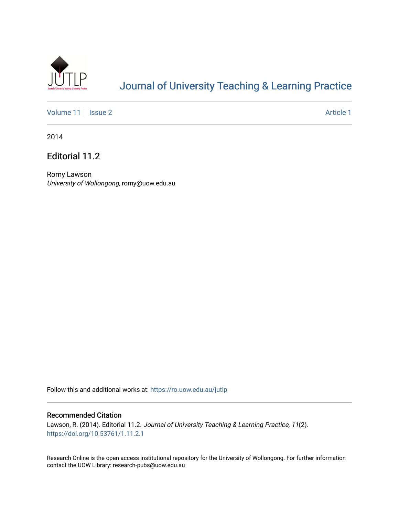

# [Journal of University Teaching & Learning Practice](https://ro.uow.edu.au/jutlp)

[Volume 11](https://ro.uow.edu.au/jutlp/vol11) | [Issue 2](https://ro.uow.edu.au/jutlp/vol11/iss2) Article 1

2014

Editorial 11.2

Romy Lawson University of Wollongong, romy@uow.edu.au

Follow this and additional works at: [https://ro.uow.edu.au/jutlp](https://ro.uow.edu.au/jutlp?utm_source=ro.uow.edu.au%2Fjutlp%2Fvol11%2Fiss2%2F1&utm_medium=PDF&utm_campaign=PDFCoverPages) 

#### Recommended Citation

Lawson, R. (2014). Editorial 11.2. Journal of University Teaching & Learning Practice, 11(2). <https://doi.org/10.53761/1.11.2.1>

Research Online is the open access institutional repository for the University of Wollongong. For further information contact the UOW Library: research-pubs@uow.edu.au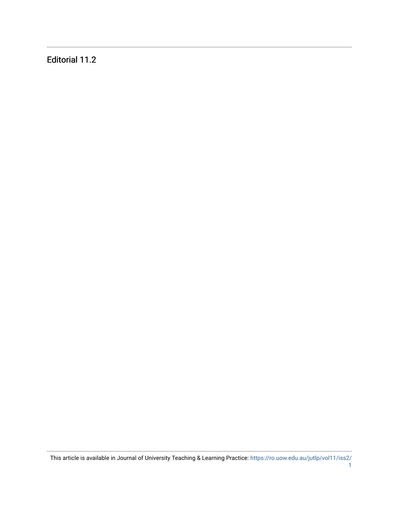Editorial 11.2

This article is available in Journal of University Teaching & Learning Practice: [https://ro.uow.edu.au/jutlp/vol11/iss2/](https://ro.uow.edu.au/jutlp/vol11/iss2/1) [1](https://ro.uow.edu.au/jutlp/vol11/iss2/1)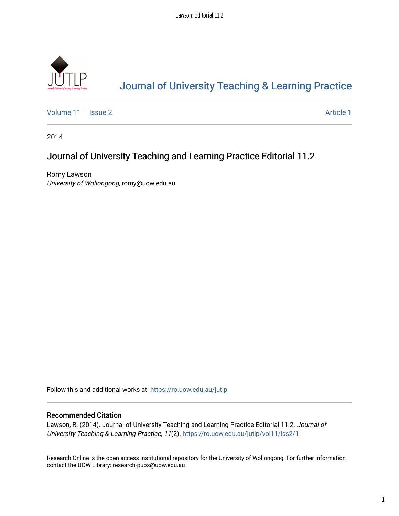

# [Journal of University Teaching & Learning Practice](https://ro.uow.edu.au/jutlp)

[Volume 11](https://ro.uow.edu.au/jutlp/vol11) | [Issue 2](https://ro.uow.edu.au/jutlp/vol11/iss2) Article 1

2014

### Journal of University Teaching and Learning Practice Editorial 11.2

Romy Lawson University of Wollongong, romy@uow.edu.au

Follow this and additional works at: [https://ro.uow.edu.au/jutlp](https://ro.uow.edu.au/jutlp?utm_source=ro.uow.edu.au%2Fjutlp%2Fvol11%2Fiss2%2F1&utm_medium=PDF&utm_campaign=PDFCoverPages) 

#### Recommended Citation

Lawson, R. (2014). Journal of University Teaching and Learning Practice Editorial 11.2. Journal of University Teaching & Learning Practice, 11(2). [https://ro.uow.edu.au/jutlp/vol11/iss2/1](https://ro.uow.edu.au/jutlp/vol11/iss2/1?utm_source=ro.uow.edu.au%2Fjutlp%2Fvol11%2Fiss2%2F1&utm_medium=PDF&utm_campaign=PDFCoverPages) 

Research Online is the open access institutional repository for the University of Wollongong. For further information contact the UOW Library: research-pubs@uow.edu.au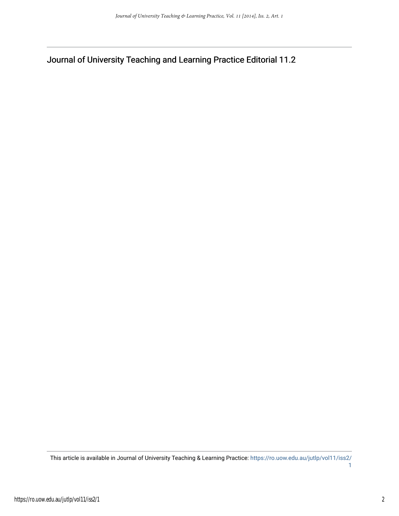Journal of University Teaching and Learning Practice Editorial 11.2

This article is available in Journal of University Teaching & Learning Practice: [https://ro.uow.edu.au/jutlp/vol11/iss2/](https://ro.uow.edu.au/jutlp/vol11/iss2/1) [1](https://ro.uow.edu.au/jutlp/vol11/iss2/1)